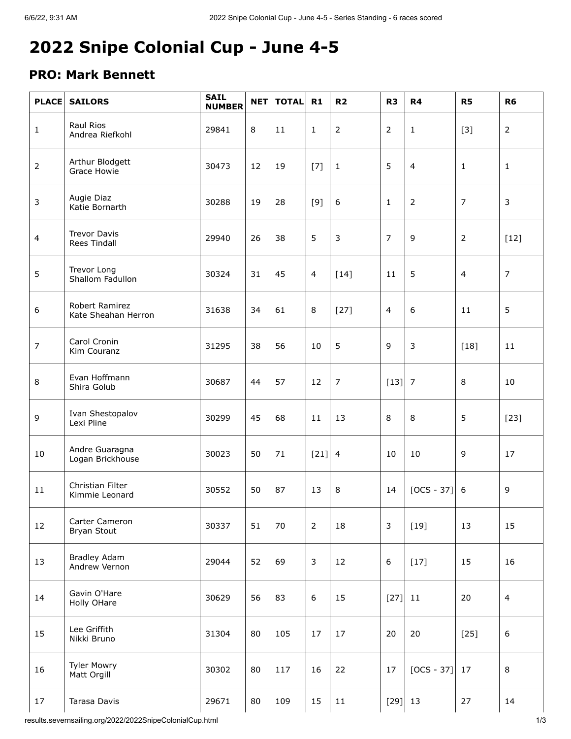## **2022 Snipe Colonial Cup - June 4-5**

## **PRO: Mark Bennett**

| <b>PLACE</b>   | <b>SAILORS</b>                             | <b>SAIL</b><br><b>NUMBER</b> | <b>NET</b> | <b>TOTAL</b> | R1             | R <sub>2</sub> | R <sub>3</sub> | R <sub>4</sub> | R <sub>5</sub> | R <sub>6</sub> |
|----------------|--------------------------------------------|------------------------------|------------|--------------|----------------|----------------|----------------|----------------|----------------|----------------|
| $\mathbf{1}$   | Raul Rios<br>Andrea Riefkohl               | 29841                        | 8          | 11           | $\mathbf{1}$   | 2              | $\overline{2}$ | $\mathbf{1}$   | $[3]$          | $\overline{2}$ |
| $\overline{2}$ | Arthur Blodgett<br>Grace Howie             | 30473                        | 12         | 19           | $[7]$          | $\mathbf{1}$   | 5              | $\overline{4}$ | $\mathbf{1}$   | $\mathbf{1}$   |
| 3              | Augie Diaz<br>Katie Bornarth               | 30288                        | 19         | 28           | $[9]$          | 6              | $\mathbf{1}$   | $\overline{2}$ | $\overline{7}$ | 3              |
| $\overline{4}$ | <b>Trevor Davis</b><br><b>Rees Tindall</b> | 29940                        | 26         | 38           | 5              | $\mathfrak{Z}$ | $\overline{7}$ | 9              | $\overline{2}$ | $[12]$         |
| 5              | Trevor Long<br>Shallom Fadullon            | 30324                        | 31         | 45           | $\overline{4}$ | $[14]$         | 11             | 5              | $\overline{4}$ | $\overline{7}$ |
| 6              | Robert Ramirez<br>Kate Sheahan Herron      | 31638                        | 34         | 61           | 8              | $[27]$         | $\overline{4}$ | 6              | 11             | 5              |
| $\overline{7}$ | Carol Cronin<br>Kim Couranz                | 31295                        | 38         | 56           | 10             | 5              | 9              | 3              | $[18]$         | 11             |
| 8              | Evan Hoffmann<br>Shira Golub               | 30687                        | 44         | 57           | 12             | 7              | $[13] 7$       |                | 8              | 10             |
| $\mathsf 9$    | Ivan Shestopalov<br>Lexi Pline             | 30299                        | 45         | 68           | 11             | 13             | 8              | 8              | 5              | $[23]$         |
| 10             | Andre Guaragna<br>Logan Brickhouse         | 30023                        | 50         | 71           | $[21]$         | $\overline{4}$ | 10             | 10             | 9              | 17             |
| 11             | Christian Filter<br>Kimmie Leonard         | 30552                        | 50         | 87           | 13             | 8              | 14             | $[OCS - 37]$   | 6              | 9              |
| 12             | Carter Cameron<br>Bryan Stout              | 30337                        | 51         | 70           | $\overline{2}$ | 18             | $\mathfrak{Z}$ | $[19]$         | 13             | 15             |
| 13             | <b>Bradley Adam</b><br>Andrew Vernon       | 29044                        | 52         | 69           | 3              | 12             | 6              | $[17]$         | 15             | 16             |
| 14             | Gavin O'Hare<br>Holly OHare                | 30629                        | 56         | 83           | 6              | 15             | $[27]$         | 11             | 20             | $\overline{4}$ |
| 15             | Lee Griffith<br>Nikki Bruno                | 31304                        | 80         | 105          | 17             | 17             | 20             | 20             | $[25]$         | 6              |
| 16             | <b>Tyler Mowry</b><br>Matt Orgill          | 30302                        | 80         | 117          | 16             | 22             | 17             | $[OCS - 37]$   | 17             | 8              |
| 17             | Tarasa Davis                               | 29671                        | 80         | 109          | 15             | 11             | $[29]$ 13      |                | 27             | 14             |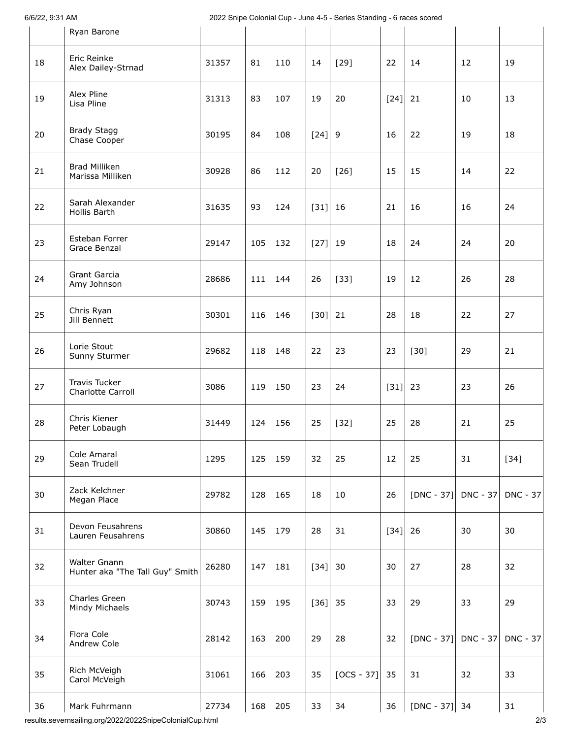6/6/22, 9:31 AM 2022 Snipe Colonial Cup - June 4-5 - Series Standing - 6 races scored

|    | Ryan Barone                                     |       |     |     |          |              |           |                 |                 |          |
|----|-------------------------------------------------|-------|-----|-----|----------|--------------|-----------|-----------------|-----------------|----------|
| 18 | Eric Reinke<br>Alex Dailey-Strnad               | 31357 | 81  | 110 | 14       | $[29]$       | 22        | 14              | 12              | 19       |
| 19 | Alex Pline<br>Lisa Pline                        | 31313 | 83  | 107 | 19       | 20           | $[24] 21$ |                 | 10              | 13       |
| 20 | <b>Brady Stagg</b><br>Chase Cooper              | 30195 | 84  | 108 | $[24]$ 9 |              | 16        | 22              | 19              | 18       |
| 21 | <b>Brad Milliken</b><br>Marissa Milliken        | 30928 | 86  | 112 | 20       | $[26]$       | 15        | 15              | 14              | 22       |
| 22 | Sarah Alexander<br>Hollis Barth                 | 31635 | 93  | 124 | $[31]$   | 16           | 21        | 16              | 16              | 24       |
| 23 | Esteban Forrer<br>Grace Benzal                  | 29147 | 105 | 132 | $[27]$   | 19           | 18        | 24              | 24              | 20       |
| 24 | Grant Garcia<br>Amy Johnson                     | 28686 | 111 | 144 | 26       | $[33]$       | 19        | 12              | 26              | 28       |
| 25 | Chris Ryan<br>Jill Bennett                      | 30301 | 116 | 146 | $[30]$   | 21           | 28        | 18              | 22              | 27       |
| 26 | Lorie Stout<br>Sunny Sturmer                    | 29682 | 118 | 148 | 22       | 23           | 23        | $[30]$          | 29              | 21       |
| 27 | Travis Tucker<br>Charlotte Carroll              | 3086  | 119 | 150 | 23       | 24           | $[31]$    | 23              | 23              | 26       |
| 28 | Chris Kiener<br>Peter Lobaugh                   | 31449 | 124 | 156 | 25       | $[32]$       | 25        | 28              | 21              | 25       |
| 29 | Cole Amaral<br>Sean Trudell                     | 1295  | 125 | 159 | 32       | 25           | 12        | 25              | 31              | $[34]$   |
| 30 | Zack Kelchner<br>Megan Place                    | 29782 | 128 | 165 | 18       | 10           | 26        | $[DNC - 37]$    | $DNC - 37$      | DNC - 37 |
| 31 | Devon Feusahrens<br>Lauren Feusahrens           | 30860 | 145 | 179 | 28       | 31           | $[34]$    | 26              | 30              | 30       |
| 32 | Walter Gnann<br>Hunter aka "The Tall Guy" Smith | 26280 | 147 | 181 | $[34]$   | 30           | 30        | 27              | 28              | 32       |
| 33 | Charles Green<br>Mindy Michaels                 | 30743 | 159 | 195 | $[36]$   | 35           | 33        | 29              | 33              | 29       |
| 34 | Flora Cole<br>Andrew Cole                       | 28142 | 163 | 200 | 29       | 28           | 32        | $[DNC - 37]$    | <b>DNC - 37</b> | DNC - 37 |
| 35 | Rich McVeigh<br>Carol McVeigh                   | 31061 | 166 | 203 | 35       | $[OCS - 37]$ | 35        | 31              | 32              | 33       |
| 36 | Mark Fuhrmann                                   | 27734 | 168 | 205 | 33       | 34           | 36        | $[DNC - 37]$ 34 |                 | 31       |

results.severnsailing.org/2022/2022SnipeColonialCup.html 2/3